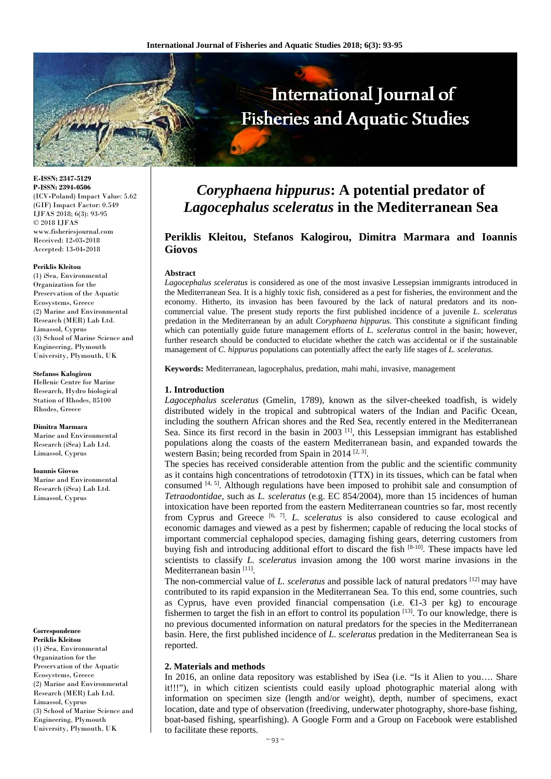

**E-ISSN: 2347-5129 P-ISSN: 2394-0506**  (ICV**-**Poland) Impact Value: 5.62 (GIF) Impact Factor: 0.549 IJFAS 2018; 6(3): 93-95 © 2018 IJFAS www.fisheriesjournal.com Received: 12**-**03**-**2018 Accepted: 13**-**04**-**2018

#### **Periklis Kleitou**

(1) iSea, Environmental Organization for the Preservation of the Aquatic Ecosystems, Greece (2) Marine and Environmental Research (MER) Lab Ltd. Limassol, Cyprus (3) School of Marine Science and Engineering, Plymouth University, Plymouth, UK

#### **Stefanos Kalogirou**

Hellenic Centre for Marine Research, Hydro biological Station of Rhodes, 85100 Rhodes, Greece

#### **Dimitra Marmara**

Marine and Environmental Research (iSea) Lab Ltd. Limassol, Cyprus

#### **Ioannis Giovos**

Marine and Environmental Research (iSea) Lab Ltd. Limassol, Cyprus

#### **Correspondence Periklis Kleitou**

(1) iSea, Environmental Organization for the Preservation of the Aquatic Ecosystems, Greece (2) Marine and Environmental Research (MER) Lab Ltd. Limassol, Cyprus (3) School of Marine Science and Engineering, Plymouth University, Plymouth, UK

# *Coryphaena hippurus***: A potential predator of**  *Lagocephalus sceleratus* **in the Mediterranean Sea**

# **Periklis Kleitou, Stefanos Kalogirou, Dimitra Marmara and Ioannis Giovos**

#### **Abstract**

*Lagocephalus sceleratus* is considered as one of the most invasive Lessepsian immigrants introduced in the Mediterranean Sea. It is a highly toxic fish, considered as a pest for fisheries, the environment and the economy. Hitherto, its invasion has been favoured by the lack of natural predators and its noncommercial value. The present study reports the first published incidence of a juvenile *L. sceleratus* predation in the Mediterranean by an adult *Coryphaena hippurus*. This constitute a significant finding which can potentially guide future management efforts of *L. sceleratus* control in the basin; however, further research should be conducted to elucidate whether the catch was accidental or if the sustainable management of *C. hippurus* populations can potentially affect the early life stages of *L. sceleratus.*

**Keywords:** Mediterranean, lagocephalus, predation, mahi mahi, invasive, management

#### **1. Introduction**

*Lagocephalus sceleratus* (Gmelin, 1789), known as the silver**-**cheeked toadfish, is widely distributed widely in the tropical and subtropical waters of the Indian and Pacific Ocean, including the southern African shores and the Red Sea, recently entered in the Mediterranean Sea. Since its first record in the basin in 2003<sup>[1]</sup>, this Lessepsian immigrant has established populations along the coasts of the eastern Mediterranean basin, and expanded towards the western Basin; being recorded from Spain in 2014<sup>[2, 3]</sup>.

The species has received considerable attention from the public and the scientific community as it contains high concentrations of tetrodotoxin (TTX) in its tissues, which can be fatal when consumed  $[4, 5]$ . Although regulations have been imposed to prohibit sale and consumption of *Tetraodontidae*, such as *L. sceleratus* (e.g. EC 854/2004), more than 15 incidences of human intoxication have been reported from the eastern Mediterranean countries so far, most recently from Cyprus and Greece [6, 7]. *L. sceleratus* is also considered to cause ecological and economic damages and viewed as a pest by fishermen; capable of reducing the local stocks of important commercial cephalopod species, damaging fishing gears, deterring customers from buying fish and introducing additional effort to discard the fish [8**-**10]. These impacts have led scientists to classify *L. sceleratus* invasion among the 100 worst marine invasions in the Mediterranean basin<sup>[11]</sup>.

The non**-**commercial value of *L. sceleratus* and possible lack of natural predators [12] may have contributed to its rapid expansion in the Mediterranean Sea. To this end, some countries, such as Cyprus, have even provided financial compensation (i.e. €1**-**3 per kg) to encourage fishermen to target the fish in an effort to control its population  $[13]$ . To our knowledge, there is no previous documented information on natural predators for the species in the Mediterranean basin. Here, the first published incidence of *L. sceleratus* predation in the Mediterranean Sea is reported.

#### **2. Materials and methods**

In 2016, an online data repository was established by iSea (i.e. "Is it Alien to you…. Share it!!!"), in which citizen scientists could easily upload photographic material along with information on specimen size (length and/or weight), depth, number of specimens, exact location, date and type of observation (freediving, underwater photography, shore**-**base fishing, boat**-**based fishing, spearfishing). A Google Form and a Group on Facebook were established to facilitate these reports.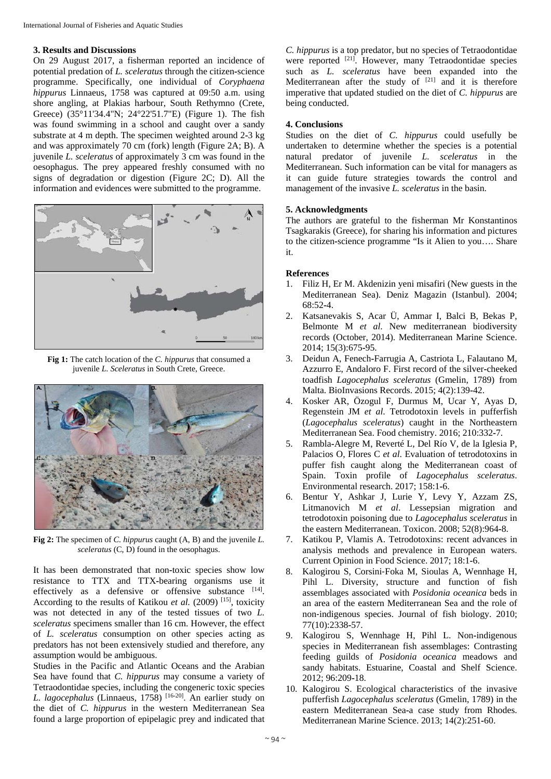## **3. Results and Discussions**

On 29 August 2017, a fisherman reported an incidence of potential predation of *L. sceleratus* through the citizen**-**science programme. Specifically, one individual of *Coryphaena hippurus* Linnaeus, 1758 was captured at 09:50 a.m. using shore angling, at Plakias harbour, South Rethymno (Crete, Greece) (35°11'34.4"N; 24°22'51.7"E) (Figure 1). The fish was found swimming in a school and caught over a sandy substrate at 4 m depth. The specimen weighted around 2**-**3 kg and was approximately 70 cm (fork) length (Figure 2A; B). A juvenile *L. sceleratus* of approximately 3 cm was found in the oesophagus. The prey appeared freshly consumed with no signs of degradation or digestion (Figure 2C; D). All the information and evidences were submitted to the programme.



**Fig 1:** The catch location of the *C. hippurus* that consumed a juvenile *L. Sceleratus* in South Crete, Greece.



**Fig 2:** The specimen of *C. hippurus* caught (A, B) and the juvenile *L. sceleratus* (C, D) found in the oesophagus.

It has been demonstrated that non**-**toxic species show low resistance to TTX and TTX**-**bearing organisms use it effectively as a defensive or offensive substance [14]. According to the results of Katikou et al. (2009)<sup>[15]</sup>, toxicity was not detected in any of the tested tissues of two *L. sceleratus* specimens smaller than 16 cm. However, the effect of *L. sceleratus* consumption on other species acting as predators has not been extensively studied and therefore, any assumption would be ambiguous.

Studies in the Pacific and Atlantic Oceans and the Arabian Sea have found that *C. hippurus* may consume a variety of Tetraodontidae species, including the congeneric toxic species *L. lagocephalus* (Linnaeus, 1758) [16**-**20]. An earlier study on the diet of *C. hippurus* in the western Mediterranean Sea found a large proportion of epipelagic prey and indicated that

*C. hippurus* is a top predator, but no species of Tetraodontidae were reported <sup>[21]</sup>. However, many Tetraodontidae species such as *L. sceleratus* have been expanded into the Mediterranean after the study of  $[21]$  and it is therefore imperative that updated studied on the diet of *C. hippurus* are being conducted.

## **4. Conclusions**

Studies on the diet of *C. hippurus* could usefully be undertaken to determine whether the species is a potential natural predator of juvenile *L. sceleratus* in the Mediterranean. Such information can be vital for managers as it can guide future strategies towards the control and management of the invasive *L. sceleratus* in the basin.

# **5. Acknowledgments**

The authors are grateful to the fisherman Mr Konstantinos Tsagkarakis (Greece), for sharing his information and pictures to the citizen**-**science programme "Is it Alien to you…. Share it.

# **References**

- 1. Filiz H, Er M. Akdenizin yeni misafiri (New guests in the Mediterranean Sea). Deniz Magazin (Istanbul). 2004; 68:52**-**4.
- 2. Katsanevakis S, Acar Ü, Ammar I, Balci B, Bekas P, Belmonte M *et al*. New mediterranean biodiversity records (October, 2014). Mediterranean Marine Science. 2014; 15(3):675**-**95.
- 3. Deidun A, Fenech**-**Farrugia A, Castriota L, Falautano M, Azzurro E, Andaloro F. First record of the silver**-**cheeked toadfish *Lagocephalus sceleratus* (Gmelin, 1789) from Malta. BioInvasions Records. 2015; 4(2):139**-**42.
- 4. Kosker AR, Özogul F, Durmus M, Ucar Y, Ayas D, Regenstein JM *et al*. Tetrodotoxin levels in pufferfish (*Lagocephalus sceleratus*) caught in the Northeastern Mediterranean Sea. Food chemistry. 2016; 210:332**-**7.
- 5. Rambla**-**Alegre M, Reverté L, Del Río V, de la Iglesia P, Palacios O, Flores C *et al*. Evaluation of tetrodotoxins in puffer fish caught along the Mediterranean coast of Spain. Toxin profile of *Lagocephalus sceleratus*. Environmental research. 2017; 158:1**-**6.
- 6. Bentur Y, Ashkar J, Lurie Y, Levy Y, Azzam ZS, Litmanovich M *et al*. Lessepsian migration and tetrodotoxin poisoning due to *Lagocephalus sceleratus* in the eastern Mediterranean. Toxicon. 2008; 52(8):964**-**8.
- 7. Katikou P, Vlamis A. Tetrodotoxins: recent advances in analysis methods and prevalence in European waters. Current Opinion in Food Science. 2017; 18:1**-**6.
- 8. Kalogirou S, Corsini‐Foka M, Sioulas A, Wennhage H, Pihl L. Diversity, structure and function of fish assemblages associated with *Posidonia oceanica* beds in an area of the eastern Mediterranean Sea and the role of non‐indigenous species. Journal of fish biology. 2010; 77(10):2338**-**57.
- 9. Kalogirou S, Wennhage H, Pihl L. Non**-**indigenous species in Mediterranean fish assemblages: Contrasting feeding guilds of *Posidonia oceanica* meadows and sandy habitats. Estuarine, Coastal and Shelf Science. 2012; 96:209**-**18.
- 10. Kalogirou S. Ecological characteristics of the invasive pufferfish *Lagocephalus sceleratus* (Gmelin, 1789) in the eastern Mediterranean Sea**-**a case study from Rhodes. Mediterranean Marine Science. 2013; 14(2):251**-**60.